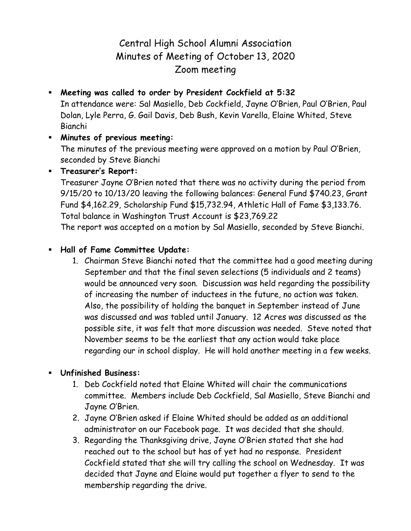## Central High School Alumni Association Minutes of Meeting of October 13, 2020 Zoom meeting

 **Meeting was called to order by President Cockfield at 5:32** In attendance were: Sal Masiello, Deb Cockfield, Jayne O'Brien, Paul O'Brien, Paul Dolan, Lyle Perra, G. Gail Davis, Deb Bush, Kevin Varella, Elaine Whited, Steve Bianchi

## **Minutes of previous meeting:** The minutes of the previous meeting were approved on a motion by Paul O'Brien, seconded by Steve Bianchi

**Treasurer's Report:**

Treasurer Jayne O'Brien noted that there was no activity during the period from 9/15/20 to 10/13/20 leaving the following balances: General Fund \$740.23, Grant Fund \$4,162.29, Scholarship Fund \$15,732.94, Athletic Hall of Fame \$3,133.76. Total balance in Washington Trust Account is \$23,769.22

The report was accepted on a motion by Sal Masiello, seconded by Steve Bianchi.

## **Hall of Fame Committee Update:**

1. Chairman Steve Bianchi noted that the committee had a good meeting during September and that the final seven selections (5 individuals and 2 teams) would be announced very soon. Discussion was held regarding the possibility of increasing the number of inductees in the future, no action was taken. Also, the possibility of holding the banquet in September instead of June was discussed and was tabled until January. 12 Acres was discussed as the possible site, it was felt that more discussion was needed. Steve noted that November seems to be the earliest that any action would take place regarding our in school display. He will hold another meeting in a few weeks.

## **Unfinished Business:**

- 1. Deb Cockfield noted that Elaine Whited will chair the communications committee. Members include Deb Cockfield, Sal Masiello, Steve Bianchi and Jayne O'Brien.
- 2. Jayne O'Brien asked if Elaine Whited should be added as an additional administrator on our Facebook page. It was decided that she should.
- 3. Regarding the Thanksgiving drive, Jayne O'Brien stated that she had reached out to the school but has of yet had no response. President Cockfield stated that she will try calling the school on Wednesday. It was decided that Jayne and Elaine would put together a flyer to send to the membership regarding the drive.